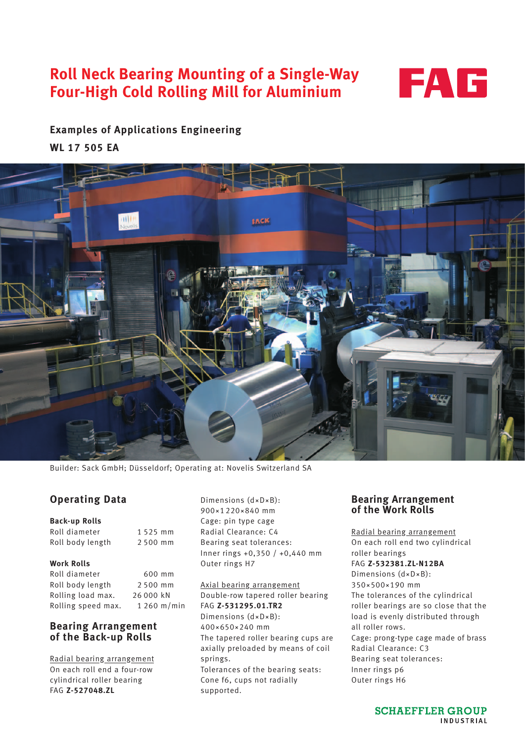# **Roll Neck Bearing Mounting of a Single-Way Four-High Cold Rolling Mill for Aluminium**



# **Examples of Applications Engineering WL 17 505 EA**



Builder: Sack GmbH; Düsseldorf; Operating at: Novelis Switzerland SA

## **Operating Data**

#### **Back-up Rolls**

Roll diameter 1 525 mm Roll body length 2 500 mm

#### **Work Rolls**

Roll diameter 600 mm Roll body length 2 500 mm Rolling load max. 26 000 kN Rolling speed max. 1 260 m/min

### **Bearing Arrangement of the Back-up Rolls**

Radial bearing arrangement On each roll end a four-row cylindrical roller bearing FAG **Z-527048.ZL**

Dimensions (d×D×B): 900~1220~840 mm Cage: pin type cage Radial Clearance: C4 Bearing seat tolerances: Inner rings +0,350 / +0,440 mm Outer rings H7

Axial bearing arrangement Double-row tapered roller bearing FAG **Z-531295.01.TR2** Dimensions (d×D×B): 400~650~240 mm The tapered roller bearing cups are axially preloaded by means of coil springs. Tolerances of the bearing seats: Cone f6, cups not radially supported.

#### **Bearing Arrangement of the Work Rolls**

Radial bearing arrangement On each roll end two cylindrical roller bearings FAG **Z-532381.ZL-N12BA** Dimensions (d×D×B): 350~500~190 mm The tolerances of the cylindrical roller bearings are so close that the load is evenly distributed through all roller rows. Cage: prong-type cage made of brass Radial Clearance: C3 Bearing seat tolerances: Inner rings p6 Outer rings H6

> **SCHAEFFLER GROUP** INDUSTRIAL